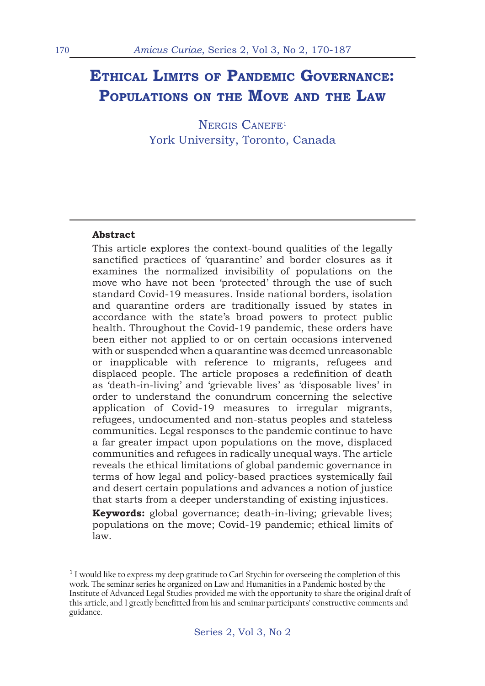# **Ethical Limits of Pandemic Governance: Populations on the Move and the Law**

NERGIS CANEFE<sup>1</sup> York University, Toronto, Canada

#### **Abstract**

This article explores the context-bound qualities of the legally sanctified practices of 'quarantine' and border closures as it examines the normalized invisibility of populations on the move who have not been 'protected' through the use of such standard Covid-19 measures. Inside national borders, isolation and quarantine orders are traditionally issued by states in accordance with the state's broad powers to protect public health. Throughout the Covid-19 pandemic, these orders have been either not applied to or on certain occasions intervened with or suspended when a quarantine was deemed unreasonable or inapplicable with reference to migrants, refugees and displaced people. The article proposes a redefinition of death as 'death-in-living' and 'grievable lives' as 'disposable lives' in order to understand the conundrum concerning the selective application of Covid-19 measures to irregular migrants, refugees, undocumented and non-status peoples and stateless communities. Legal responses to the pandemic continue to have a far greater impact upon populations on the move, displaced communities and refugees in radically unequal ways. The article reveals the ethical limitations of global pandemic governance in terms of how legal and policy-based practices systemically fail and desert certain populations and advances a notion of justice that starts from a deeper understanding of existing injustices. **Keywords:** global governance; death-in-living; grievable lives;

populations on the move; Covid-19 pandemic; ethical limits of law.

 $1$  I would like to express my deep gratitude to Carl Stychin for overseeing the completion of this work. The seminar series he organized on Law and Humanities in a Pandemic hosted by the Institute of Advanced Legal Studies provided me with the opportunity to share the original draft of this article, and I greatly benefitted from his and seminar participants' constructive comments and guidance.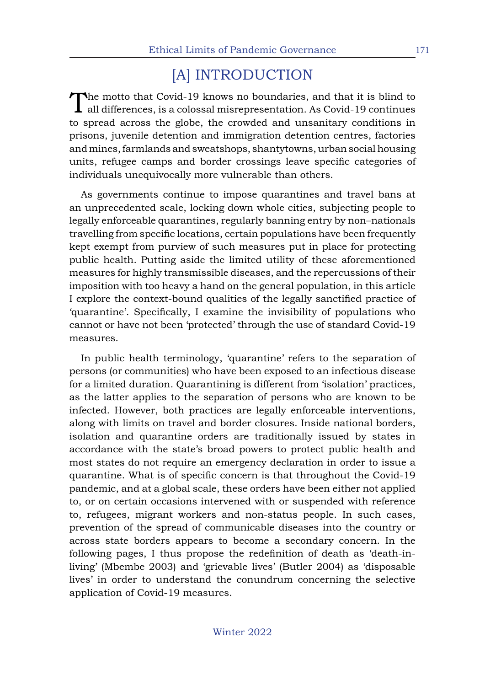## [A] INTRODUCTION

The motto that Covid-19 knows no boundaries, and that it is blind to  $\blacktriangle$  all differences, is a colossal misrepresentation. As Covid-19 continues to spread across the globe, the crowded and unsanitary conditions in prisons, juvenile detention and immigration detention centres, factories and mines, farmlands and sweatshops, shantytowns, urban social housing units, refugee camps and border crossings leave specific categories of individuals unequivocally more vulnerable than others.

As governments continue to impose quarantines and travel bans at an unprecedented scale, locking down whole cities, subjecting people to legally enforceable quarantines, regularly banning entry by non–nationals travelling from specific locations, certain populations have been frequently kept exempt from purview of such measures put in place for protecting public health. Putting aside the limited utility of these aforementioned measures for highly transmissible diseases, and the repercussions of their imposition with too heavy a hand on the general population, in this article I explore the context-bound qualities of the legally sanctified practice of 'quarantine'. Specifically, I examine the invisibility of populations who cannot or have not been 'protected' through the use of standard Covid-19 measures.

In public health terminology, 'quarantine' refers to the separation of persons (or communities) who have been exposed to an infectious disease for a limited duration. Quarantining is different from 'isolation' practices, as the latter applies to the separation of persons who are known to be infected. However, both practices are legally enforceable interventions, along with limits on travel and border closures. Inside national borders, isolation and quarantine orders are traditionally issued by states in accordance with the state's broad powers to protect public health and most states do not require an emergency declaration in order to issue a quarantine. What is of specific concern is that throughout the Covid-19 pandemic, and at a global scale, these orders have been either not applied to, or on certain occasions intervened with or suspended with reference to, refugees, migrant workers and non-status people. In such cases, prevention of the spread of communicable diseases into the country or across state borders appears to become a secondary concern. In the following pages, I thus propose the redefinition of death as 'death-inliving' (Mbembe 2003) and 'grievable lives' (Butler 2004) as 'disposable lives' in order to understand the conundrum concerning the selective application of Covid-19 measures.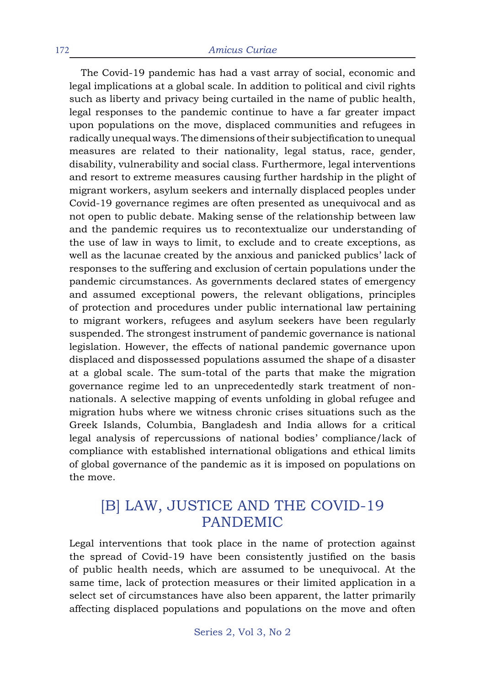The Covid-19 pandemic has had a vast array of social, economic and legal implications at a global scale. In addition to political and civil rights such as liberty and privacy being curtailed in the name of public health, legal responses to the pandemic continue to have a far greater impact upon populations on the move, displaced communities and refugees in radically unequal ways. The dimensions of their subjectification to unequal measures are related to their nationality, legal status, race, gender, disability, vulnerability and social class. Furthermore, legal interventions and resort to extreme measures causing further hardship in the plight of migrant workers, asylum seekers and internally displaced peoples under Covid-19 governance regimes are often presented as unequivocal and as not open to public debate. Making sense of the relationship between law and the pandemic requires us to recontextualize our understanding of the use of law in ways to limit, to exclude and to create exceptions, as well as the lacunae created by the anxious and panicked publics' lack of responses to the suffering and exclusion of certain populations under the pandemic circumstances. As governments declared states of emergency and assumed exceptional powers, the relevant obligations, principles of protection and procedures under public international law pertaining to migrant workers, refugees and asylum seekers have been regularly suspended. The strongest instrument of pandemic governance is national legislation. However, the effects of national pandemic governance upon displaced and dispossessed populations assumed the shape of a disaster at a global scale. The sum-total of the parts that make the migration governance regime led to an unprecedentedly stark treatment of nonnationals. A selective mapping of events unfolding in global refugee and migration hubs where we witness chronic crises situations such as the Greek Islands, Columbia, Bangladesh and India allows for a critical legal analysis of repercussions of national bodies' compliance/lack of compliance with established international obligations and ethical limits of global governance of the pandemic as it is imposed on populations on the move.

#### [B] LAW, JUSTICE AND THE COVID-19 PANDEMIC

Legal interventions that took place in the name of protection against the spread of Covid-19 have been consistently justified on the basis of public health needs, which are assumed to be unequivocal. At the same time, lack of protection measures or their limited application in a select set of circumstances have also been apparent, the latter primarily affecting displaced populations and populations on the move and often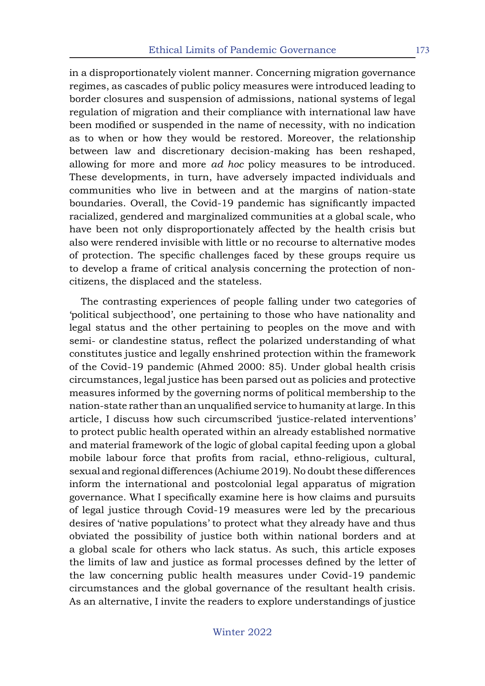in a disproportionately violent manner. Concerning migration governance regimes, as cascades of public policy measures were introduced leading to border closures and suspension of admissions, national systems of legal regulation of migration and their compliance with international law have been modified or suspended in the name of necessity, with no indication as to when or how they would be restored. Moreover, the relationship between law and discretionary decision-making has been reshaped, allowing for more and more *ad hoc* policy measures to be introduced. These developments, in turn, have adversely impacted individuals and communities who live in between and at the margins of nation-state boundaries. Overall, the Covid-19 pandemic has significantly impacted racialized, gendered and marginalized communities at a global scale, who have been not only disproportionately affected by the health crisis but also were rendered invisible with little or no recourse to alternative modes of protection. The specific challenges faced by these groups require us to develop a frame of critical analysis concerning the protection of noncitizens, the displaced and the stateless.

The contrasting experiences of people falling under two categories of 'political subjecthood', one pertaining to those who have nationality and legal status and the other pertaining to peoples on the move and with semi- or clandestine status, reflect the polarized understanding of what constitutes justice and legally enshrined protection within the framework of the Covid-19 pandemic (Ahmed 2000: 85). Under global health crisis circumstances, legal justice has been parsed out as policies and protective measures informed by the governing norms of political membership to the nation-state rather than an unqualified service to humanity at large. In this article, I discuss how such circumscribed 'justice-related interventions' to protect public health operated within an already established normative and material framework of the logic of global capital feeding upon a global mobile labour force that profits from racial, ethno-religious, cultural, sexual and regional differences (Achiume 2019). No doubt these differences inform the international and postcolonial legal apparatus of migration governance. What I specifically examine here is how claims and pursuits of legal justice through Covid-19 measures were led by the precarious desires of 'native populations' to protect what they already have and thus obviated the possibility of justice both within national borders and at a global scale for others who lack status. As such, this article exposes the limits of law and justice as formal processes defined by the letter of the law concerning public health measures under Covid-19 pandemic circumstances and the global governance of the resultant health crisis. As an alternative, I invite the readers to explore understandings of justice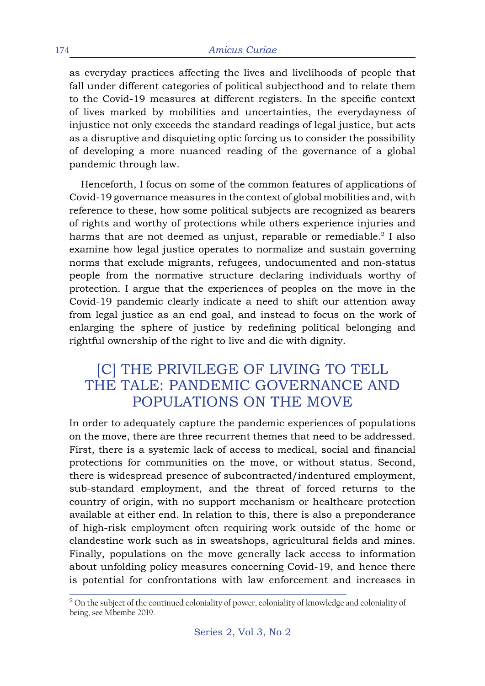as everyday practices affecting the lives and livelihoods of people that fall under different categories of political subjecthood and to relate them to the Covid-19 measures at different registers. In the specific context of lives marked by mobilities and uncertainties, the everydayness of injustice not only exceeds the standard readings of legal justice, but acts as a disruptive and disquieting optic forcing us to consider the possibility of developing a more nuanced reading of the governance of a global pandemic through law.

Henceforth, I focus on some of the common features of applications of Covid-19 governance measures in the context of global mobilities and, with reference to these, how some political subjects are recognized as bearers of rights and worthy of protections while others experience injuries and harms that are not deemed as unjust, reparable or remediable.<sup>2</sup> I also examine how legal justice operates to normalize and sustain governing norms that exclude migrants, refugees, undocumented and non-status people from the normative structure declaring individuals worthy of protection. I argue that the experiences of peoples on the move in the Covid-19 pandemic clearly indicate a need to shift our attention away from legal justice as an end goal, and instead to focus on the work of enlarging the sphere of justice by redefining political belonging and rightful ownership of the right to live and die with dignity.

#### [C] THE PRIVILEGE OF LIVING TO TELL THE TALE: PANDEMIC GOVERNANCE AND POPULATIONS ON THE MOVE

In order to adequately capture the pandemic experiences of populations on the move, there are three recurrent themes that need to be addressed. First, there is a systemic lack of access to medical, social and financial protections for communities on the move, or without status. Second, there is widespread presence of subcontracted/indentured employment, sub-standard employment, and the threat of forced returns to the country of origin, with no support mechanism or healthcare protection available at either end. In relation to this, there is also a preponderance of high-risk employment often requiring work outside of the home or clandestine work such as in sweatshops, agricultural fields and mines. Finally, populations on the move generally lack access to information about unfolding policy measures concerning Covid-19, and hence there is potential for confrontations with law enforcement and increases in

<sup>&</sup>lt;sup>2</sup> On the subject of the continued coloniality of power, coloniality of knowledge and coloniality of being, see Mbembe 2019.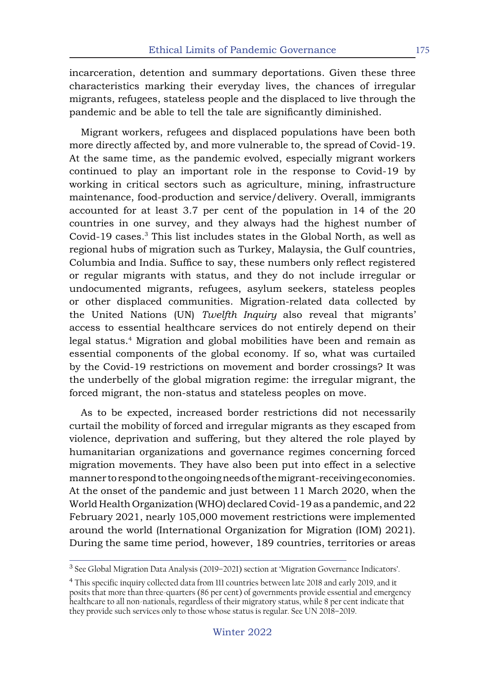incarceration, detention and summary deportations. Given these three characteristics marking their everyday lives, the chances of irregular migrants, refugees, stateless people and the displaced to live through the pandemic and be able to tell the tale are significantly diminished.

Migrant workers, refugees and displaced populations have been both more directly affected by, and more vulnerable to, the spread of Covid-19. At the same time, as the pandemic evolved, especially migrant workers continued to play an important role in the response to Covid-19 by working in critical sectors such as agriculture, mining, infrastructure maintenance, food-production and service/delivery. Overall, immigrants accounted for at least 3.7 per cent of the population in 14 of the 20 countries in one survey, and they always had the highest number of Covid-19 cases.<sup>3</sup> This list includes states in the Global North, as well as regional hubs of migration such as Turkey, Malaysia, the Gulf countries, Columbia and India. Suffice to say, these numbers only reflect registered or regular migrants with status, and they do not include irregular or undocumented migrants, refugees, asylum seekers, stateless peoples or other displaced communities. Migration-related data collected by the United Nations (UN) *Twelfth Inquiry* also reveal that migrants' access to essential healthcare services do not entirely depend on their legal status.<sup>4</sup> Migration and global mobilities have been and remain as essential components of the global economy. If so, what was curtailed by the Covid-19 restrictions on movement and border crossings? It was the underbelly of the global migration regime: the irregular migrant, the forced migrant, the non-status and stateless peoples on move.

As to be expected, increased border restrictions did not necessarily curtail the mobility of forced and irregular migrants as they escaped from violence, deprivation and suffering, but they altered the role played by humanitarian organizations and governance regimes concerning forced migration movements. They have also been put into effect in a selective manner to respond to the ongoing needs of the migrant-receiving economies. At the onset of the pandemic and just between 11 March 2020, when the World Health Organization (WHO) declared Covid-19 as a pandemic, and 22 February 2021, nearly 105,000 movement restrictions were implemented around the world (International Organization for Migration (IOM) 2021). During the same time period, however, 189 countries, territories or areas

<sup>3</sup> See Global Migration Data Analysis (2019–2021) section at 'Migration Governance Indicators'.

<sup>4</sup>This specific inquiry collected data from 111 countries between late 2018 and early 2019, and it posits that more than three-quarters (86 per cent) of governments provide essential and emergency healthcare to all non-nationals, regardless of their migratory status, while 8 per cent indicate that they provide such services only to those whose status is regular. See UN 2018–2019.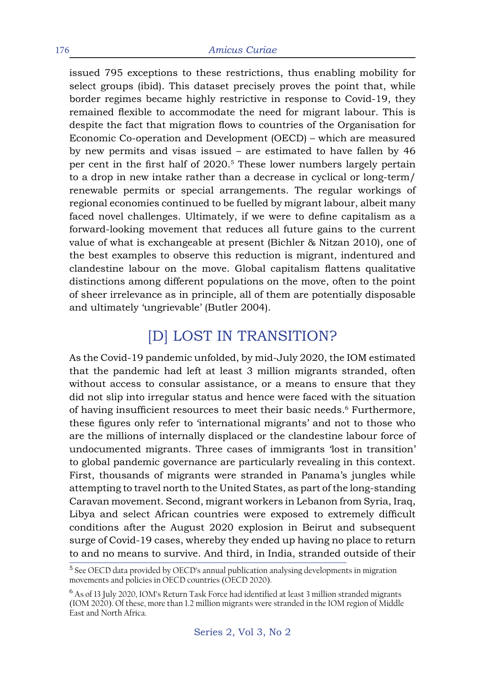issued 795 exceptions to these restrictions, thus enabling mobility for select groups (ibid). This dataset precisely proves the point that, while border regimes became highly restrictive in response to Covid-19, they remained flexible to accommodate the need for migrant labour. This is despite the fact that migration flows to countries of the Organisation for Economic Co-operation and Development (OECD) – which are measured by new permits and visas issued – are estimated to have fallen by 46 per cent in the first half of 2020.<sup>5</sup> These lower numbers largely pertain to a drop in new intake rather than a decrease in cyclical or long-term/ renewable permits or special arrangements. The regular workings of regional economies continued to be fuelled by migrant labour, albeit many faced novel challenges. Ultimately, if we were to define capitalism as a forward-looking movement that reduces all future gains to the current value of what is exchangeable at present (Bichler & Nitzan 2010), one of the best examples to observe this reduction is migrant, indentured and clandestine labour on the move. Global capitalism flattens qualitative distinctions among different populations on the move, often to the point of sheer irrelevance as in principle, all of them are potentially disposable and ultimately 'ungrievable' (Butler 2004).

## [D] LOST IN TRANSITION?

As the Covid-19 pandemic unfolded, by mid-July 2020, the IOM estimated that the pandemic had left at least 3 million migrants stranded, often without access to consular assistance, or a means to ensure that they did not slip into irregular status and hence were faced with the situation of having insufficient resources to meet their basic needs.<sup>6</sup> Furthermore, these figures only refer to 'international migrants' and not to those who are the millions of internally displaced or the clandestine labour force of undocumented migrants. Three cases of immigrants 'lost in transition' to global pandemic governance are particularly revealing in this context. First, thousands of migrants were stranded in Panama's jungles while attempting to travel north to the United States, as part of the long-standing Caravan movement. Second, migrant workers in Lebanon from Syria, Iraq, Libya and select African countries were exposed to extremely difficult conditions after the August 2020 explosion in Beirut and subsequent surge of Covid-19 cases, whereby they ended up having no place to return to and no means to survive. And third, in India, stranded outside of their

<sup>&</sup>lt;sup>5</sup> See OECD data provided by OECD's annual publication analysing developments in migration movements and policies in OECD countries (OECD 2020).

<sup>6</sup> As of 13 July 2020, IOM's Return Task Force had identified at least 3 million stranded migrants (IOM 2020). Of these, more than 1.2 million migrants were stranded in the IOM region of Middle East and North Africa.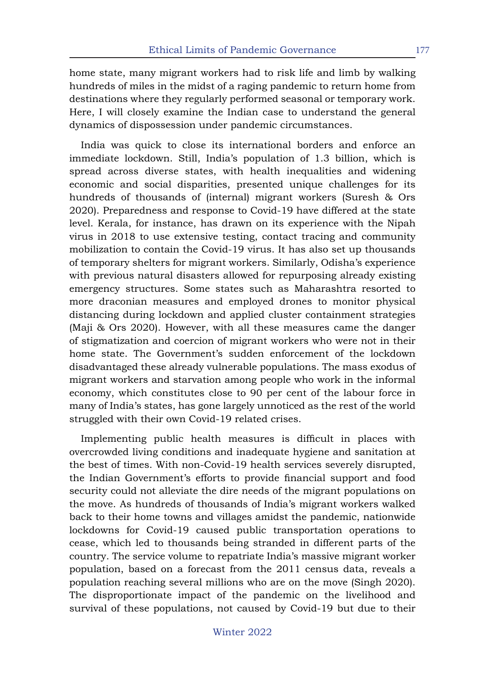home state, many migrant workers had to risk life and limb by walking hundreds of miles in the midst of a raging pandemic to return home from destinations where they regularly performed seasonal or temporary work. Here, I will closely examine the Indian case to understand the general dynamics of dispossession under pandemic circumstances.

India was quick to close its international borders and enforce an immediate lockdown. Still, India's population of 1.3 billion, which is spread across diverse states, with health inequalities and widening economic and social disparities, presented unique challenges for its hundreds of thousands of (internal) migrant workers (Suresh & Ors 2020). Preparedness and response to Covid-19 have differed at the state level. Kerala, for instance, has drawn on its experience with the Nipah virus in 2018 to use extensive testing, contact tracing and community mobilization to contain the Covid-19 virus. It has also set up thousands of temporary shelters for migrant workers. Similarly, Odisha's experience with previous natural disasters allowed for repurposing already existing emergency structures. Some states such as Maharashtra resorted to more draconian measures and employed drones to monitor physical distancing during lockdown and applied cluster containment strategies (Maji & Ors 2020). However, with all these measures came the danger of stigmatization and coercion of migrant workers who were not in their home state. The Government's sudden enforcement of the lockdown disadvantaged these already vulnerable populations. The mass exodus of migrant workers and starvation among people who work in the informal economy, which constitutes close to 90 per cent of the labour force in many of India's states, has gone largely unnoticed as the rest of the world struggled with their own Covid-19 related crises.

Implementing public health measures is difficult in places with overcrowded living conditions and inadequate hygiene and sanitation at the best of times. With non-Covid-19 health services severely disrupted, the Indian Government's efforts to provide financial support and food security could not alleviate the dire needs of the migrant populations on the move. As hundreds of thousands of India's migrant workers walked back to their home towns and villages amidst the pandemic, nationwide lockdowns for Covid-19 caused public transportation operations to cease, which led to thousands being stranded in different parts of the country. The service volume to repatriate India's massive migrant worker population, based on a forecast from the 2011 census data, reveals a population reaching several millions who are on the move (Singh 2020). The disproportionate impact of the pandemic on the livelihood and survival of these populations, not caused by Covid-19 but due to their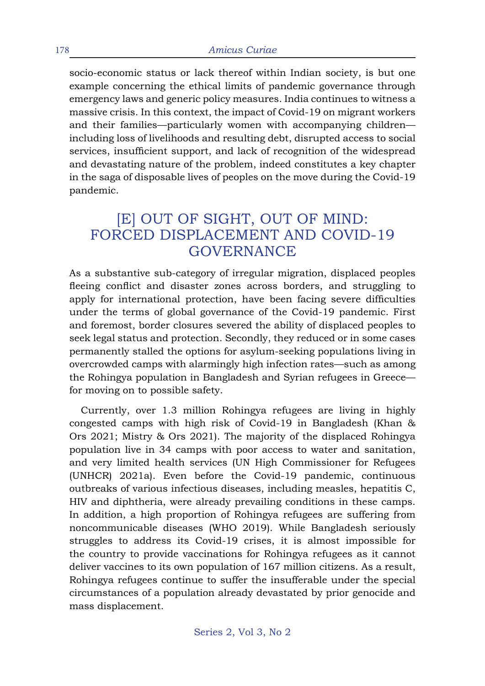socio-economic status or lack thereof within Indian society, is but one example concerning the ethical limits of pandemic governance through emergency laws and generic policy measures. India continues to witness a massive crisis. In this context, the impact of Covid-19 on migrant workers and their families—particularly women with accompanying children including loss of livelihoods and resulting debt, disrupted access to social services, insufficient support, and lack of recognition of the widespread and devastating nature of the problem, indeed constitutes a key chapter in the saga of disposable lives of peoples on the move during the Covid-19 pandemic.

#### [E] OUT OF SIGHT, OUT OF MIND: FORCED DISPLACEMENT AND COVID-19 GOVERNANCE

As a substantive sub-category of irregular migration, displaced peoples fleeing conflict and disaster zones across borders, and struggling to apply for international protection, have been facing severe difficulties under the terms of global governance of the Covid-19 pandemic. First and foremost, border closures severed the ability of displaced peoples to seek legal status and protection. Secondly, they reduced or in some cases permanently stalled the options for asylum-seeking populations living in overcrowded camps with alarmingly high infection rates—such as among the Rohingya population in Bangladesh and Syrian refugees in Greece for moving on to possible safety.

Currently, over 1.3 million Rohingya refugees are living in highly congested camps with high risk of Covid-19 in Bangladesh (Khan & Ors 2021; Mistry & Ors 2021). The majority of the displaced Rohingya population live in 34 camps with poor access to water and sanitation, and very limited health services (UN High Commissioner for Refugees (UNHCR) 2021a). Even before the Covid-19 pandemic, continuous outbreaks of various infectious diseases, including measles, hepatitis C, HIV and diphtheria, were already prevailing conditions in these camps. In addition, a high proportion of Rohingya refugees are suffering from noncommunicable diseases (WHO 2019). While Bangladesh seriously struggles to address its Covid-19 crises, it is almost impossible for the country to provide vaccinations for Rohingya refugees as it cannot deliver vaccines to its own population of 167 million citizens. As a result, Rohingya refugees continue to suffer the insufferable under the special circumstances of a population already devastated by prior genocide and mass displacement.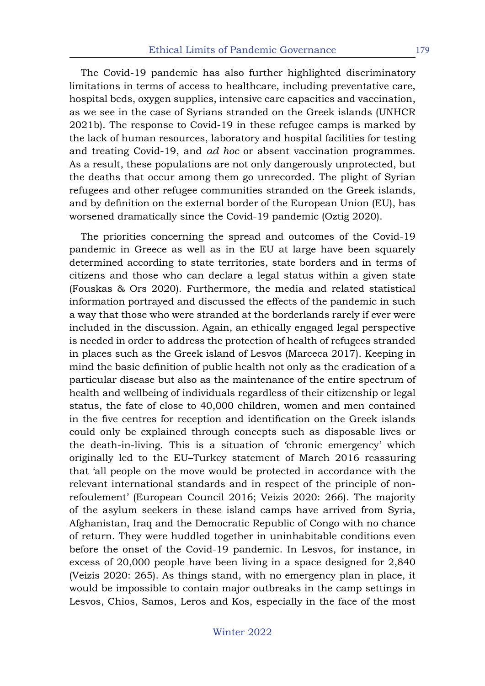The Covid-19 pandemic has also further highlighted discriminatory limitations in terms of access to healthcare, including preventative care, hospital beds, oxygen supplies, intensive care capacities and vaccination, as we see in the case of Syrians stranded on the Greek islands (UNHCR 2021b). The response to Covid-19 in these refugee camps is marked by the lack of human resources, laboratory and hospital facilities for testing and treating Covid-19, and *ad hoc* or absent vaccination programmes. As a result, these populations are not only dangerously unprotected, but the deaths that occur among them go unrecorded. The plight of Syrian refugees and other refugee communities stranded on the Greek islands, and by definition on the external border of the European Union (EU), has worsened dramatically since the Covid-19 pandemic (Oztig 2020).

The priorities concerning the spread and outcomes of the Covid-19 pandemic in Greece as well as in the EU at large have been squarely determined according to state territories, state borders and in terms of citizens and those who can declare a legal status within a given state (Fouskas & Ors 2020). Furthermore, the media and related statistical information portrayed and discussed the effects of the pandemic in such a way that those who were stranded at the borderlands rarely if ever were included in the discussion. Again, an ethically engaged legal perspective is needed in order to address the protection of health of refugees stranded in places such as the Greek island of Lesvos (Marceca 2017). Keeping in mind the basic definition of public health not only as the eradication of a particular disease but also as the maintenance of the entire spectrum of health and wellbeing of individuals regardless of their citizenship or legal status, the fate of close to 40,000 children, women and men contained in the five centres for reception and identification on the Greek islands could only be explained through concepts such as disposable lives or the death-in-living. This is a situation of 'chronic emergency' which originally led to the EU–Turkey statement of March 2016 reassuring that 'all people on the move would be protected in accordance with the relevant international standards and in respect of the principle of nonrefoulement' (European Council 2016; Veizis 2020: 266). The majority of the asylum seekers in these island camps have arrived from Syria, Afghanistan, Iraq and the Democratic Republic of Congo with no chance of return. They were huddled together in uninhabitable conditions even before the onset of the Covid-19 pandemic. In Lesvos, for instance, in excess of 20,000 people have been living in a space designed for 2,840 (Veizis 2020: 265). As things stand, with no emergency plan in place, it would be impossible to contain major outbreaks in the camp settings in Lesvos, Chios, Samos, Leros and Kos, especially in the face of the most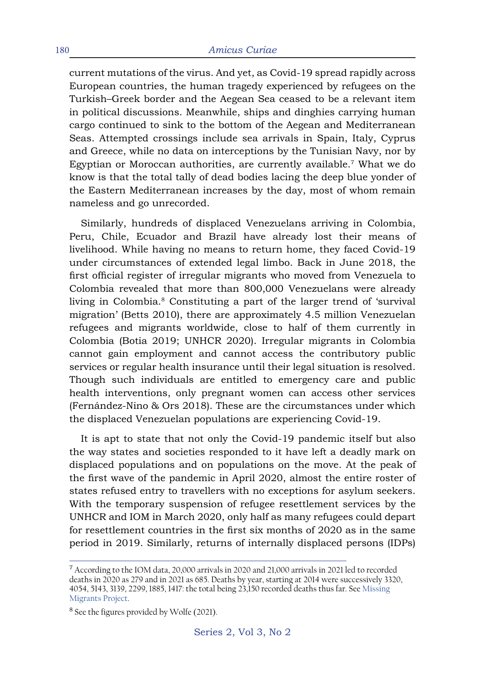current mutations of the virus. And yet, as Covid-19 spread rapidly across European countries, the human tragedy experienced by refugees on the Turkish–Greek border and the Aegean Sea ceased to be a relevant item in political discussions. Meanwhile, ships and dinghies carrying human cargo continued to sink to the bottom of the Aegean and Mediterranean Seas. Attempted crossings include sea arrivals in Spain, Italy, Cyprus and Greece, while no data on interceptions by the Tunisian Navy, nor by Egyptian or Moroccan authorities, are currently available.<sup>7</sup> What we do know is that the total tally of dead bodies lacing the deep blue yonder of the Eastern Mediterranean increases by the day, most of whom remain nameless and go unrecorded.

Similarly, hundreds of displaced Venezuelans arriving in Colombia, Peru, Chile, Ecuador and Brazil have already lost their means of livelihood. While having no means to return home, they faced Covid-19 under circumstances of extended legal limbo. Back in June 2018, the first official register of irregular migrants who moved from Venezuela to Colombia revealed that more than 800,000 Venezuelans were already living in Colombia.<sup>8</sup> Constituting a part of the larger trend of 'survival migration' (Betts 2010), there are approximately 4.5 million Venezuelan refugees and migrants worldwide, close to half of them currently in Colombia (Botia 2019; UNHCR 2020). Irregular migrants in Colombia cannot gain employment and cannot access the contributory public services or regular health insurance until their legal situation is resolved. Though such individuals are entitled to emergency care and public health interventions, only pregnant women can access other services (Fernández-Nino & Ors 2018). These are the circumstances under which the displaced Venezuelan populations are experiencing Covid-19.

It is apt to state that not only the Covid-19 pandemic itself but also the way states and societies responded to it have left a deadly mark on displaced populations and on populations on the move. At the peak of the first wave of the pandemic in April 2020, almost the entire roster of states refused entry to travellers with no exceptions for asylum seekers. With the temporary suspension of refugee resettlement services by the UNHCR and IOM in March 2020, only half as many refugees could depart for resettlement countries in the first six months of 2020 as in the same period in 2019. Similarly, returns of internally displaced persons (IDPs)

<sup>7</sup> According to the IOM data, 20,000 arrivals in 2020 and 21,000 arrivals in 2021 led to recorded deaths in 2020 as 279 and in 2021 as 685. Deaths by year, starting at 2014 were successively 3320, 4054, 5143, 3139, 2299, 1885, 1417: the total being 23,150 recorded deaths thus far. See Missing Migrants Project.

<sup>&</sup>lt;sup>8</sup> See the figures provided by Wolfe (2021).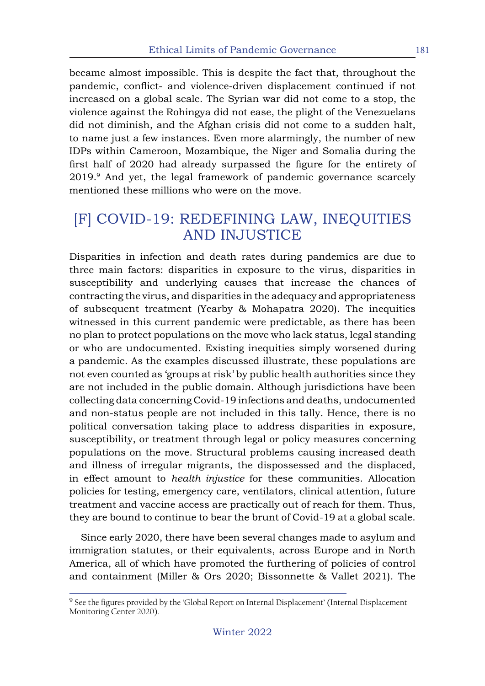became almost impossible. This is despite the fact that, throughout the pandemic, conflict- and violence-driven displacement continued if not increased on a global scale. The Syrian war did not come to a stop, the violence against the Rohingya did not ease, the plight of the Venezuelans did not diminish, and the Afghan crisis did not come to a sudden halt, to name just a few instances. Even more alarmingly, the number of new IDPs within Cameroon, Mozambique, the Niger and Somalia during the first half of 2020 had already surpassed the figure for the entirety of 2019.9 And yet, the legal framework of pandemic governance scarcely mentioned these millions who were on the move.

## [F] COVID-19: REDEFINING LAW, INEQUITIES AND INJUSTICE

Disparities in infection and death rates during pandemics are due to three main factors: disparities in exposure to the virus, disparities in susceptibility and underlying causes that increase the chances of contracting the virus, and disparities in the adequacy and appropriateness of subsequent treatment (Yearby & Mohapatra 2020). The inequities witnessed in this current pandemic were predictable, as there has been no plan to protect populations on the move who lack status, legal standing or who are undocumented. Existing inequities simply worsened during a pandemic. As the examples discussed illustrate, these populations are not even counted as 'groups at risk' by public health authorities since they are not included in the public domain. Although jurisdictions have been collecting data concerning Covid-19 infections and deaths, undocumented and non-status people are not included in this tally. Hence, there is no political conversation taking place to address disparities in exposure, susceptibility, or treatment through legal or policy measures concerning populations on the move. Structural problems causing increased death and illness of irregular migrants, the dispossessed and the displaced, in effect amount to *health injustice* for these communities. Allocation policies for testing, emergency care, ventilators, clinical attention, future treatment and vaccine access are practically out of reach for them. Thus, they are bound to continue to bear the brunt of Covid-19 at a global scale.

Since early 2020, there have been several changes made to asylum and immigration statutes, or their equivalents, across Europe and in North America, all of which have promoted the furthering of policies of control and containment (Miller & Ors 2020; Bissonnette & Vallet 2021). The

<sup>&</sup>lt;sup>9</sup> See the figures provided by the 'Global Report on Internal Displacement' (Internal Displacement Monitoring Center 2020).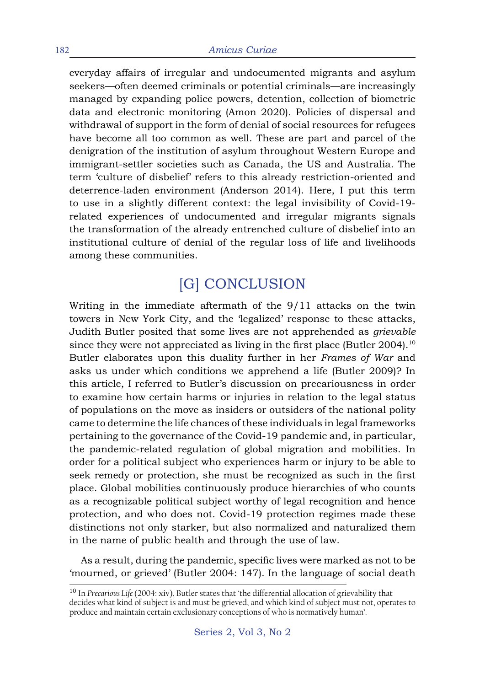everyday affairs of irregular and undocumented migrants and asylum seekers—often deemed criminals or potential criminals—are increasingly managed by expanding police powers, detention, collection of biometric data and electronic monitoring (Amon 2020). Policies of dispersal and withdrawal of support in the form of denial of social resources for refugees have become all too common as well. These are part and parcel of the denigration of the institution of asylum throughout Western Europe and immigrant-settler societies such as Canada, the US and Australia. The term 'culture of disbelief' refers to this already restriction-oriented and deterrence-laden environment (Anderson 2014). Here, I put this term to use in a slightly different context: the legal invisibility of Covid-19 related experiences of undocumented and irregular migrants signals the transformation of the already entrenched culture of disbelief into an institutional culture of denial of the regular loss of life and livelihoods among these communities.

# [G] CONCLUSION

Writing in the immediate aftermath of the 9/11 attacks on the twin towers in New York City, and the 'legalized' response to these attacks, Judith Butler posited that some lives are not apprehended as *grievable* since they were not appreciated as living in the first place (Butler 2004).<sup>10</sup> Butler elaborates upon this duality further in her *Frames of War* and asks us under which conditions we apprehend a life (Butler 2009)? In this article, I referred to Butler's discussion on precariousness in order to examine how certain harms or injuries in relation to the legal status of populations on the move as insiders or outsiders of the national polity came to determine the life chances of these individuals in legal frameworks pertaining to the governance of the Covid-19 pandemic and, in particular, the pandemic-related regulation of global migration and mobilities. In order for a political subject who experiences harm or injury to be able to seek remedy or protection, she must be recognized as such in the first place. Global mobilities continuously produce hierarchies of who counts as a recognizable political subject worthy of legal recognition and hence protection, and who does not. Covid-19 protection regimes made these distinctions not only starker, but also normalized and naturalized them in the name of public health and through the use of law.

As a result, during the pandemic, specific lives were marked as not to be 'mourned, or grieved' (Butler 2004: 147). In the language of social death

<sup>10</sup> In *Precarious Life* (2004: xiv), Butler states that 'the differential allocation of grievability that decides what kind of subject is and must be grieved, and which kind of subject must not, operates to produce and maintain certain exclusionary conceptions of who is normatively human'.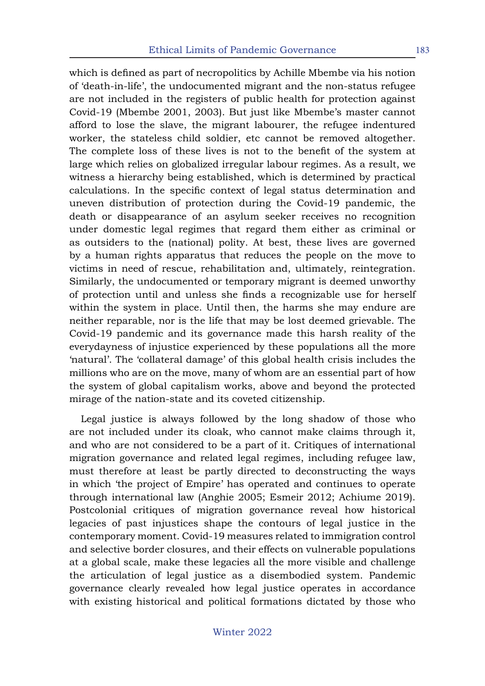which is defined as part of necropolitics by Achille Mbembe via his notion of 'death-in-life', the undocumented migrant and the non-status refugee are not included in the registers of public health for protection against Covid-19 (Mbembe 2001, 2003). But just like Mbembe's master cannot afford to lose the slave, the migrant labourer, the refugee indentured worker, the stateless child soldier, etc cannot be removed altogether. The complete loss of these lives is not to the benefit of the system at large which relies on globalized irregular labour regimes. As a result, we witness a hierarchy being established, which is determined by practical calculations. In the specific context of legal status determination and uneven distribution of protection during the Covid-19 pandemic, the death or disappearance of an asylum seeker receives no recognition under domestic legal regimes that regard them either as criminal or as outsiders to the (national) polity. At best, these lives are governed by a human rights apparatus that reduces the people on the move to victims in need of rescue, rehabilitation and, ultimately, reintegration. Similarly, the undocumented or temporary migrant is deemed unworthy of protection until and unless she finds a recognizable use for herself within the system in place. Until then, the harms she may endure are neither reparable, nor is the life that may be lost deemed grievable. The Covid-19 pandemic and its governance made this harsh reality of the everydayness of injustice experienced by these populations all the more 'natural'. The 'collateral damage' of this global health crisis includes the millions who are on the move, many of whom are an essential part of how the system of global capitalism works, above and beyond the protected mirage of the nation-state and its coveted citizenship.

Legal justice is always followed by the long shadow of those who are not included under its cloak, who cannot make claims through it, and who are not considered to be a part of it. Critiques of international migration governance and related legal regimes, including refugee law, must therefore at least be partly directed to deconstructing the ways in which 'the project of Empire' has operated and continues to operate through international law (Anghie 2005; Esmeir 2012; Achiume 2019). Postcolonial critiques of migration governance reveal how historical legacies of past injustices shape the contours of legal justice in the contemporary moment. Covid-19 measures related to immigration control and selective border closures, and their effects on vulnerable populations at a global scale, make these legacies all the more visible and challenge the articulation of legal justice as a disembodied system. Pandemic governance clearly revealed how legal justice operates in accordance with existing historical and political formations dictated by those who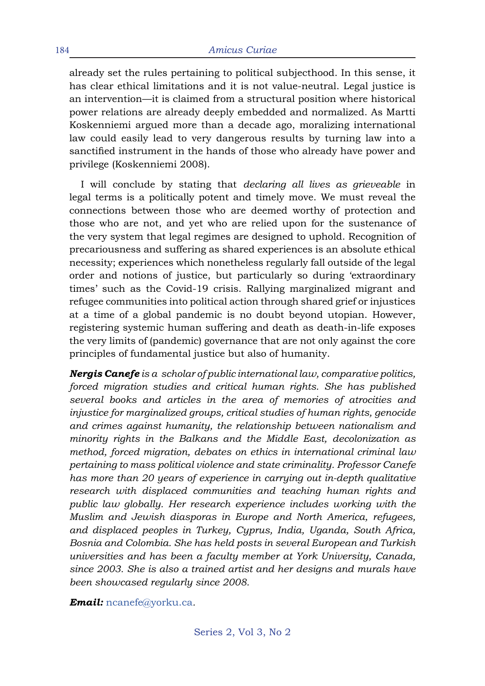already set the rules pertaining to political subjecthood. In this sense, it has clear ethical limitations and it is not value-neutral. Legal justice is an intervention—it is claimed from a structural position where historical power relations are already deeply embedded and normalized. As Martti Koskenniemi argued more than a decade ago, moralizing international law could easily lead to very dangerous results by turning law into a sanctified instrument in the hands of those who already have power and privilege (Koskenniemi 2008).

I will conclude by stating that *declaring all lives as grieveable* in legal terms is a politically potent and timely move. We must reveal the connections between those who are deemed worthy of protection and those who are not, and yet who are relied upon for the sustenance of the very system that legal regimes are designed to uphold. Recognition of precariousness and suffering as shared experiences is an absolute ethical necessity; experiences which nonetheless regularly fall outside of the legal order and notions of justice, but particularly so during 'extraordinary times' such as the Covid-19 crisis. Rallying marginalized migrant and refugee communities into political action through shared grief or injustices at a time of a global pandemic is no doubt beyond utopian. However, registering systemic human suffering and death as death-in-life exposes the very limits of (pandemic) governance that are not only against the core principles of fundamental justice but also of humanity.

*Nergis Canefe is a scholar of public international law, comparative politics, forced migration studies and critical human rights. She has published several books and articles in the area of memories of atrocities and injustice for marginalized groups, critical studies of human rights, genocide and crimes against humanity, the relationship between nationalism and minority rights in the Balkans and the Middle East, decolonization as method, forced migration, debates on ethics in international criminal law pertaining to mass political violence and state criminality. Professor Canefe has more than 20 years of experience in carrying out in-depth qualitative research with displaced communities and teaching human rights and public law globally. Her research experience includes working with the Muslim and Jewish diasporas in Europe and North America, refugees, and displaced peoples in Turkey, Cyprus, India, Uganda, South Africa, Bosnia and Colombia. She has held posts in several European and Turkish universities and has been a faculty member at York University, Canada, since 2003. She is also a trained artist and her designs and murals have been showcased regularly since 2008.*

*Email:* ncanefe@yorku.ca*.*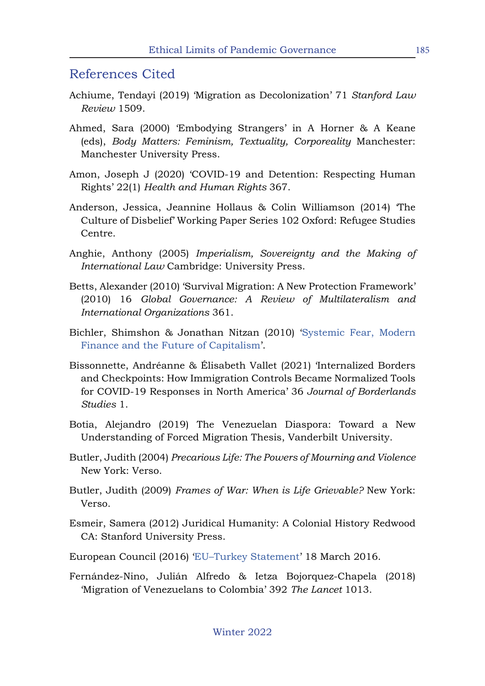#### References Cited

- Achiume, Tendayi (2019) 'Migration as Decolonization' 71 *Stanford Law Review* 1509.
- Ahmed, Sara (2000) 'Embodying Strangers' in A Horner & A Keane (eds), *Body Matters: Feminism, Textuality, Corporeality* Manchester: Manchester University Press.
- Amon, Joseph J (2020) 'COVID-19 and Detention: Respecting Human Rights' 22(1) *Health and Human Rights* 367.
- Anderson, Jessica, Jeannine Hollaus & Colin Williamson (2014) 'The Culture of Disbelief' Working Paper Series 102 Oxford: Refugee Studies Centre.
- Anghie, Anthony (2005) *Imperialism, Sovereignty and the Making of International Law* Cambridge: University Press.
- Betts, Alexander (2010) 'Survival Migration: A New Protection Framework' (2010) 16 *Global Governance: A Review of Multilateralism and International Organizations* 361.
- Bichler, Shimshon & Jonathan Nitzan (2010) 'Systemic Fear, Modern Finance and the Future of Capitalism'.
- Bissonnette, Andréanne & Élisabeth Vallet (2021) 'Internalized Borders and Checkpoints: How Immigration Controls Became Normalized Tools for COVID-19 Responses in North America' 36 *Journal of Borderlands Studies* 1.
- Botia, Alejandro (2019) The Venezuelan Diaspora: Toward a New Understanding of Forced Migration Thesis, Vanderbilt University.
- Butler, Judith (2004) *Precarious Life: The Powers of Mourning and Violence*  New York: Verso.
- Butler, Judith (2009) *Frames of War: When is Life Grievable?* New York: Verso.
- Esmeir, Samera (2012) Juridical Humanity: A Colonial History Redwood CA: Stanford University Press.
- European Council (2016) 'EU–Turkey Statement' 18 March 2016.
- Fernández-Nino, Julián Alfredo & Ietza Bojorquez-Chapela (2018) 'Migration of Venezuelans to Colombia' 392 *The Lancet* 1013.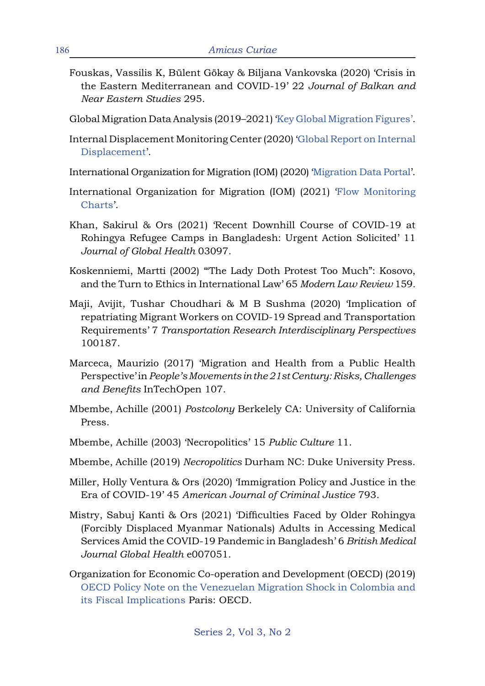- Fouskas, Vassilis K, Bülent Gökay & Biljana Vankovska (2020) 'Crisis in the Eastern Mediterranean and COVID-19' 22 *Journal of Balkan and Near Eastern Studies* 295.
- Global Migration Data Analysis (2019–2021) 'Key Global Migration Figures'.
- Internal Displacement Monitoring Center (2020) 'Global Report on Internal Displacement'.
- International Organization for Migration (IOM) (2020) 'Migration Data Portal'.
- International Organization for Migration (IOM) (2021) 'Flow Monitoring Charts'.
- Khan, Sakirul & Ors (2021) 'Recent Downhill Course of COVID-19 at Rohingya Refugee Camps in Bangladesh: Urgent Action Solicited' 11 *Journal of Global Health* 03097.
- Koskenniemi, Martti (2002) '"The Lady Doth Protest Too Much": Kosovo, and the Turn to Ethics in International Law' 65 *Modern Law Review* 159*.*
- Maji, Avijit, Tushar Choudhari & M B Sushma (2020) 'Implication of repatriating Migrant Workers on COVID-19 Spread and Transportation Requirements' 7 *Transportation Research Interdisciplinary Perspectives*  100187.
- Marceca, Maurizio (2017) 'Migration and Health from a Public Health Perspective' in *People's Movements in the 21st Century: Risks, Challenges and Benefits* InTechOpen 107.
- Mbembe, Achille (2001) *Postcolony* Berkelely CA: University of California Press.
- Mbembe, Achille (2003) 'Necropolitics' 15 *Public Culture* 11.
- Mbembe, Achille (2019) *Necropolitics* Durham NC: Duke University Press.
- Miller, Holly Ventura & Ors (2020) 'Immigration Policy and Justice in the Era of COVID-19' 45 *American Journal of Criminal Justice* 793.
- Mistry, Sabuj Kanti & Ors (2021) 'Difficulties Faced by Older Rohingya (Forcibly Displaced Myanmar Nationals) Adults in Accessing Medical Services Amid the COVID-19 Pandemic in Bangladesh' 6 *British Medical Journal Global Health* e007051.
- Organization for Economic Co-operation and Development (OECD) (2019) OECD Policy Note on the Venezuelan Migration Shock in Colombia and its Fiscal Implications Paris: OECD.